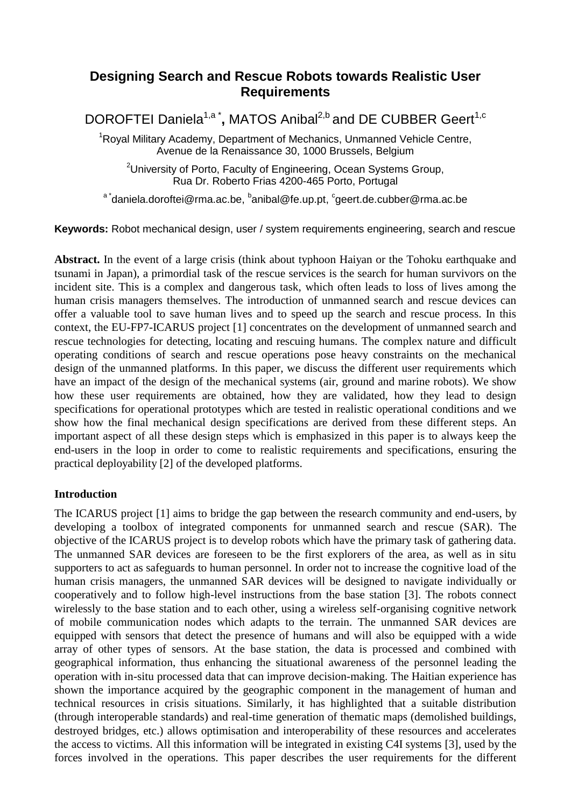# **Designing Search and Rescue Robots towards Realistic User Requirements**

DOROFTEI Daniela<sup>1,a\*</sup>, MATOS Anibal<sup>2,b</sup> and DE CUBBER Geert<sup>1,c</sup>

<sup>1</sup>Royal Military Academy, Department of Mechanics, Unmanned Vehicle Centre, Avenue de la Renaissance 30, 1000 Brussels, Belgium

<sup>2</sup>University of Porto, Faculty of Engineering, Ocean Systems Group, Rua Dr. Roberto Frias 4200-465 Porto, Portugal

 $^{\circ}$  daniela.doroftei@rma.ac.be,  $^{\circ}$ anibal@fe.up.pt,  $^{\circ}$ geert.de.cubber@rma.ac.be

**Keywords:** Robot mechanical design, user / system requirements engineering, search and rescue

**Abstract.** In the event of a large crisis (think about typhoon Haiyan or the Tohoku earthquake and tsunami in Japan), a primordial task of the rescue services is the search for human survivors on the incident site. This is a complex and dangerous task, which often leads to loss of lives among the human crisis managers themselves. The introduction of unmanned search and rescue devices can offer a valuable tool to save human lives and to speed up the search and rescue process. In this context, the EU-FP7-ICARUS project [1] concentrates on the development of unmanned search and rescue technologies for detecting, locating and rescuing humans. The complex nature and difficult operating conditions of search and rescue operations pose heavy constraints on the mechanical design of the unmanned platforms. In this paper, we discuss the different user requirements which have an impact of the design of the mechanical systems (air, ground and marine robots). We show how these user requirements are obtained, how they are validated, how they lead to design specifications for operational prototypes which are tested in realistic operational conditions and we show how the final mechanical design specifications are derived from these different steps. An important aspect of all these design steps which is emphasized in this paper is to always keep the end-users in the loop in order to come to realistic requirements and specifications, ensuring the practical deployability [2] of the developed platforms.

### **Introduction**

The ICARUS project [1] aims to bridge the gap between the research community and end-users, by developing a toolbox of integrated components for unmanned search and rescue (SAR). The objective of the ICARUS project is to develop robots which have the primary task of gathering data. The unmanned SAR devices are foreseen to be the first explorers of the area, as well as in situ supporters to act as safeguards to human personnel. In order not to increase the cognitive load of the human crisis managers, the unmanned SAR devices will be designed to navigate individually or cooperatively and to follow high-level instructions from the base station [3]. The robots connect wirelessly to the base station and to each other, using a wireless self-organising cognitive network of mobile communication nodes which adapts to the terrain. The unmanned SAR devices are equipped with sensors that detect the presence of humans and will also be equipped with a wide array of other types of sensors. At the base station, the data is processed and combined with geographical information, thus enhancing the situational awareness of the personnel leading the operation with in-situ processed data that can improve decision-making. The Haitian experience has shown the importance acquired by the geographic component in the management of human and technical resources in crisis situations. Similarly, it has highlighted that a suitable distribution (through interoperable standards) and real-time generation of thematic maps (demolished buildings, destroyed bridges, etc.) allows optimisation and interoperability of these resources and accelerates the access to victims. All this information will be integrated in existing C4I systems [3], used by the forces involved in the operations. This paper describes the user requirements for the different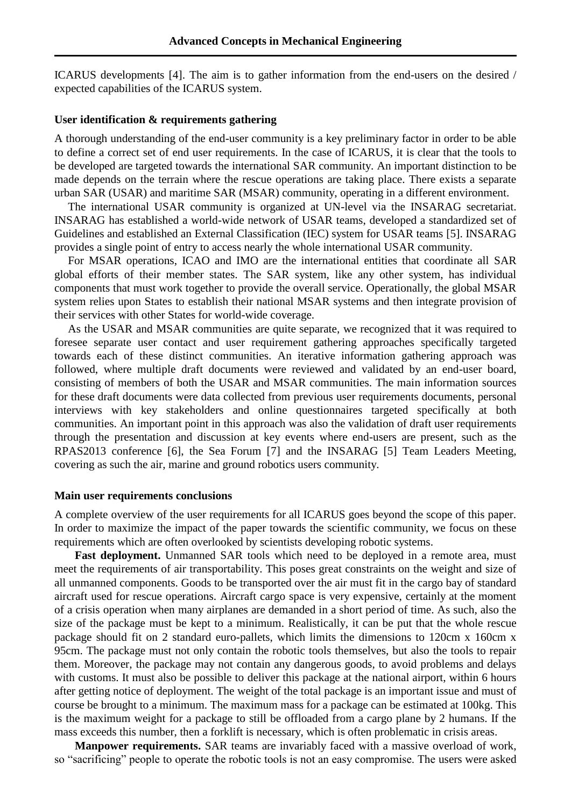ICARUS developments [4]. The aim is to gather information from the end-users on the desired / expected capabilities of the ICARUS system.

#### **User identification & requirements gathering**

A thorough understanding of the end-user community is a key preliminary factor in order to be able to define a correct set of end user requirements. In the case of ICARUS, it is clear that the tools to be developed are targeted towards the international SAR community. An important distinction to be made depends on the terrain where the rescue operations are taking place. There exists a separate urban SAR (USAR) and maritime SAR (MSAR) community, operating in a different environment.

The international USAR community is organized at UN-level via the INSARAG secretariat. INSARAG has established a world-wide network of USAR teams, developed a standardized set of Guidelines and established an External Classification (IEC) system for USAR teams [5]. INSARAG provides a single point of entry to access nearly the whole international USAR community.

For MSAR operations, ICAO and IMO are the international entities that coordinate all SAR global efforts of their member states. The SAR system, like any other system, has individual components that must work together to provide the overall service. Operationally, the global MSAR system relies upon States to establish their national MSAR systems and then integrate provision of their services with other States for world-wide coverage.

As the USAR and MSAR communities are quite separate, we recognized that it was required to foresee separate user contact and user requirement gathering approaches specifically targeted towards each of these distinct communities. An iterative information gathering approach was followed, where multiple draft documents were reviewed and validated by an end-user board, consisting of members of both the USAR and MSAR communities. The main information sources for these draft documents were data collected from previous user requirements documents, personal interviews with key stakeholders and online questionnaires targeted specifically at both communities. An important point in this approach was also the validation of draft user requirements through the presentation and discussion at key events where end-users are present, such as the RPAS2013 conference [6], the Sea Forum [7] and the INSARAG [5] Team Leaders Meeting, covering as such the air, marine and ground robotics users community.

#### **Main user requirements conclusions**

A complete overview of the user requirements for all ICARUS goes beyond the scope of this paper. In order to maximize the impact of the paper towards the scientific community, we focus on these requirements which are often overlooked by scientists developing robotic systems.

Fast deployment. Unmanned SAR tools which need to be deployed in a remote area, must meet the requirements of air transportability. This poses great constraints on the weight and size of all unmanned components. Goods to be transported over the air must fit in the cargo bay of standard aircraft used for rescue operations. Aircraft cargo space is very expensive, certainly at the moment of a crisis operation when many airplanes are demanded in a short period of time. As such, also the size of the package must be kept to a minimum. Realistically, it can be put that the whole rescue package should fit on 2 standard euro-pallets, which limits the dimensions to 120cm x 160cm x 95cm. The package must not only contain the robotic tools themselves, but also the tools to repair them. Moreover, the package may not contain any dangerous goods, to avoid problems and delays with customs. It must also be possible to deliver this package at the national airport, within 6 hours after getting notice of deployment. The weight of the total package is an important issue and must of course be brought to a minimum. The maximum mass for a package can be estimated at 100kg. This is the maximum weight for a package to still be offloaded from a cargo plane by 2 humans. If the mass exceeds this number, then a forklift is necessary, which is often problematic in crisis areas.

**Manpower requirements.** SAR teams are invariably faced with a massive overload of work, so "sacrificing" people to operate the robotic tools is not an easy compromise. The users were asked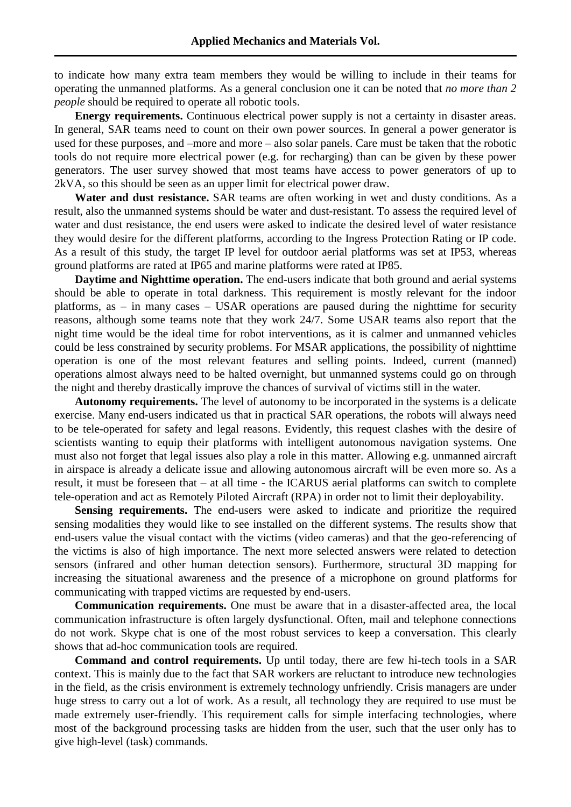to indicate how many extra team members they would be willing to include in their teams for operating the unmanned platforms. As a general conclusion one it can be noted that *no more than 2 people* should be required to operate all robotic tools.

**Energy requirements.** Continuous electrical power supply is not a certainty in disaster areas. In general, SAR teams need to count on their own power sources. In general a power generator is used for these purposes, and –more and more – also solar panels. Care must be taken that the robotic tools do not require more electrical power (e.g. for recharging) than can be given by these power generators. The user survey showed that most teams have access to power generators of up to 2kVA, so this should be seen as an upper limit for electrical power draw.

**Water and dust resistance.** SAR teams are often working in wet and dusty conditions. As a result, also the unmanned systems should be water and dust-resistant. To assess the required level of water and dust resistance, the end users were asked to indicate the desired level of water resistance they would desire for the different platforms, according to the Ingress Protection Rating or IP code. As a result of this study, the target IP level for outdoor aerial platforms was set at IP53, whereas ground platforms are rated at IP65 and marine platforms were rated at IP85.

**Daytime and Nighttime operation.** The end-users indicate that both ground and aerial systems should be able to operate in total darkness. This requirement is mostly relevant for the indoor platforms, as – in many cases – USAR operations are paused during the nighttime for security reasons, although some teams note that they work 24/7. Some USAR teams also report that the night time would be the ideal time for robot interventions, as it is calmer and unmanned vehicles could be less constrained by security problems. For MSAR applications, the possibility of nighttime operation is one of the most relevant features and selling points. Indeed, current (manned) operations almost always need to be halted overnight, but unmanned systems could go on through the night and thereby drastically improve the chances of survival of victims still in the water.

**Autonomy requirements.** The level of autonomy to be incorporated in the systems is a delicate exercise. Many end-users indicated us that in practical SAR operations, the robots will always need to be tele-operated for safety and legal reasons. Evidently, this request clashes with the desire of scientists wanting to equip their platforms with intelligent autonomous navigation systems. One must also not forget that legal issues also play a role in this matter. Allowing e.g. unmanned aircraft in airspace is already a delicate issue and allowing autonomous aircraft will be even more so. As a result, it must be foreseen that – at all time - the ICARUS aerial platforms can switch to complete tele-operation and act as Remotely Piloted Aircraft (RPA) in order not to limit their deployability.

Sensing requirements. The end-users were asked to indicate and prioritize the required sensing modalities they would like to see installed on the different systems. The results show that end-users value the visual contact with the victims (video cameras) and that the geo-referencing of the victims is also of high importance. The next more selected answers were related to detection sensors (infrared and other human detection sensors). Furthermore, structural 3D mapping for increasing the situational awareness and the presence of a microphone on ground platforms for communicating with trapped victims are requested by end-users.

**Communication requirements.** One must be aware that in a disaster-affected area, the local communication infrastructure is often largely dysfunctional. Often, mail and telephone connections do not work. Skype chat is one of the most robust services to keep a conversation. This clearly shows that ad-hoc communication tools are required.

**Command and control requirements.** Up until today, there are few hi-tech tools in a SAR context. This is mainly due to the fact that SAR workers are reluctant to introduce new technologies in the field, as the crisis environment is extremely technology unfriendly. Crisis managers are under huge stress to carry out a lot of work. As a result, all technology they are required to use must be made extremely user-friendly. This requirement calls for simple interfacing technologies, where most of the background processing tasks are hidden from the user, such that the user only has to give high-level (task) commands.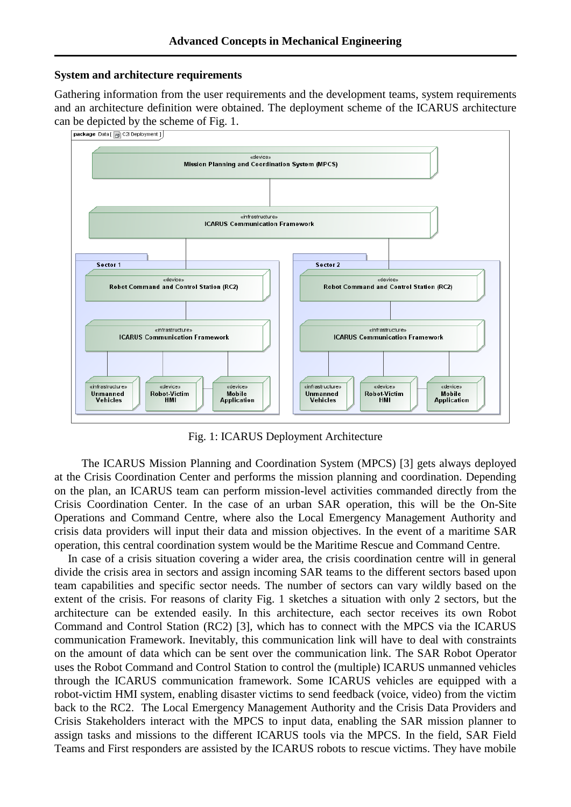#### **System and architecture requirements**

Gathering information from the user requirements and the development teams, system requirements and an architecture definition were obtained. The deployment scheme of the ICARUS architecture can be depicted by the scheme of Fig. 1.



Fig. 1: ICARUS Deployment Architecture

The ICARUS Mission Planning and Coordination System (MPCS) [3] gets always deployed at the Crisis Coordination Center and performs the mission planning and coordination. Depending on the plan, an ICARUS team can perform mission-level activities commanded directly from the Crisis Coordination Center. In the case of an urban SAR operation, this will be the On-Site Operations and Command Centre, where also the Local Emergency Management Authority and crisis data providers will input their data and mission objectives. In the event of a maritime SAR operation, this central coordination system would be the Maritime Rescue and Command Centre.

In case of a crisis situation covering a wider area, the crisis coordination centre will in general divide the crisis area in sectors and assign incoming SAR teams to the different sectors based upon team capabilities and specific sector needs. The number of sectors can vary wildly based on the extent of the crisis. For reasons of clarity Fig. 1 sketches a situation with only 2 sectors, but the architecture can be extended easily. In this architecture, each sector receives its own Robot Command and Control Station (RC2) [3], which has to connect with the MPCS via the ICARUS communication Framework. Inevitably, this communication link will have to deal with constraints on the amount of data which can be sent over the communication link. The SAR Robot Operator uses the Robot Command and Control Station to control the (multiple) ICARUS unmanned vehicles through the ICARUS communication framework. Some ICARUS vehicles are equipped with a robot-victim HMI system, enabling disaster victims to send feedback (voice, video) from the victim back to the RC2. The Local Emergency Management Authority and the Crisis Data Providers and Crisis Stakeholders interact with the MPCS to input data, enabling the SAR mission planner to assign tasks and missions to the different ICARUS tools via the MPCS. In the field, SAR Field Teams and First responders are assisted by the ICARUS robots to rescue victims. They have mobile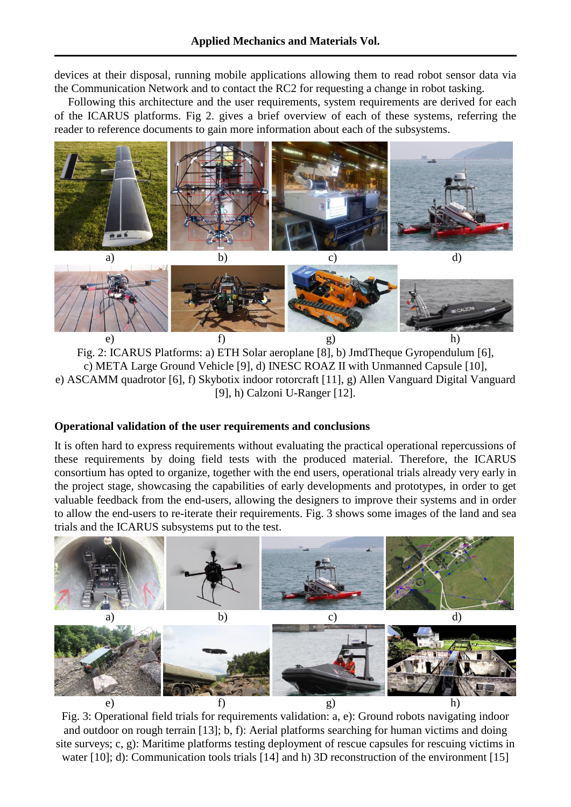devices at their disposal, running mobile applications allowing them to read robot sensor data via the Communication Network and to contact the RC2 for requesting a change in robot tasking.

Following this architecture and the user requirements, system requirements are derived for each of the ICARUS platforms. Fig 2. gives a brief overview of each of these systems, referring the reader to reference documents to gain more information about each of the subsystems.



Fig. 2: ICARUS Platforms: a) ETH Solar aeroplane [8], b) JmdTheque Gyropendulum [6], c) META Large Ground Vehicle [9], d) INESC ROAZ II with Unmanned Capsule [10], e) ASCAMM quadrotor [6], f) Skybotix indoor rotorcraft [11], g) Allen Vanguard Digital Vanguard [9], h) Calzoni U-Ranger [12].

#### **Operational validation of the user requirements and conclusions**

It is often hard to express requirements without evaluating the practical operational repercussions of these requirements by doing field tests with the produced material. Therefore, the ICARUS consortium has opted to organize, together with the end users, operational trials already very early in the project stage, showcasing the capabilities of early developments and prototypes, in order to get valuable feedback from the end-users, allowing the designers to improve their systems and in order to allow the end-users to re-iterate their requirements. Fig. 3 shows some images of the land and sea trials and the ICARUS subsystems put to the test.



Fig. 3: Operational field trials for requirements validation: a, e): Ground robots navigating indoor and outdoor on rough terrain [13]; b, f): Aerial platforms searching for human victims and doing site surveys; c, g): Maritime platforms testing deployment of rescue capsules for rescuing victims in water [10]; d): Communication tools trials [14] and h) 3D reconstruction of the environment [15]